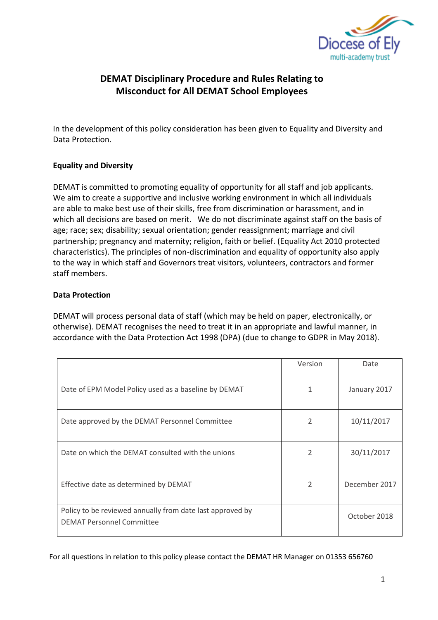

# **DEMAT Disciplinary Procedure and Rules Relating to Misconduct for All DEMAT School Employees**

In the development of this policy consideration has been given to Equality and Diversity and Data Protection.

## **Equality and Diversity**

DEMAT is committed to promoting equality of opportunity for all staff and job applicants. We aim to create a supportive and inclusive working environment in which all individuals are able to make best use of their skills, free from discrimination or harassment, and in which all decisions are based on merit. We do not discriminate against staff on the basis of age; race; sex; disability; sexual orientation; gender reassignment; marriage and civil partnership; pregnancy and maternity; religion, faith or belief. (Equality Act 2010 protected characteristics). The principles of non-discrimination and equality of opportunity also apply to the way in which staff and Governors treat visitors, volunteers, contractors and former staff members.

## **Data Protection**

DEMAT will process personal data of staff (which may be held on paper, electronically, or otherwise). DEMAT recognises the need to treat it in an appropriate and lawful manner, in accordance with the Data Protection Act 1998 (DPA) (due to change to GDPR in May 2018).

|                                                                                               | Version                  | Date          |
|-----------------------------------------------------------------------------------------------|--------------------------|---------------|
| Date of EPM Model Policy used as a baseline by DEMAT                                          | 1                        | January 2017  |
| Date approved by the DEMAT Personnel Committee                                                | 2                        | 10/11/2017    |
| Date on which the DEMAT consulted with the unions                                             | $\mathfrak{p}$           | 30/11/2017    |
| Effective date as determined by DEMAT                                                         | $\overline{\phantom{a}}$ | December 2017 |
| Policy to be reviewed annually from date last approved by<br><b>DEMAT Personnel Committee</b> |                          | October 2018  |

For all questions in relation to this policy please contact the DEMAT HR Manager on 01353 656760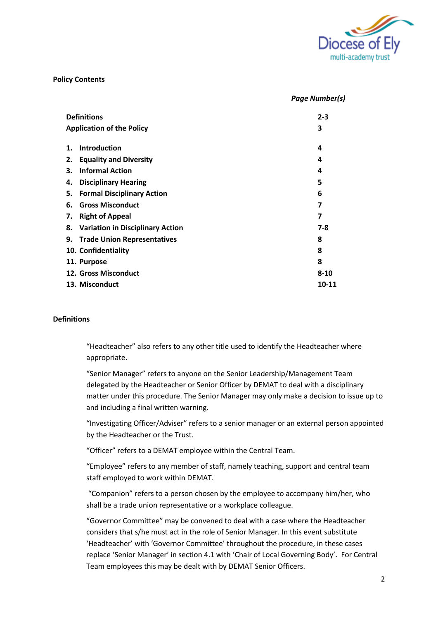

*Page Number(s)*

#### **Policy Contents**

|    | <b>Definitions</b>                  | $2 - 3$  |
|----|-------------------------------------|----------|
|    | <b>Application of the Policy</b>    | 3        |
| 1. | <b>Introduction</b>                 | 4        |
| 2. | <b>Equality and Diversity</b>       | 4        |
| 3. | <b>Informal Action</b>              | 4        |
| 4. | <b>Disciplinary Hearing</b>         | 5        |
| 5. | <b>Formal Disciplinary Action</b>   | 6        |
| 6. | <b>Gross Misconduct</b>             | 7        |
| 7. | <b>Right of Appeal</b>              | 7        |
|    | 8. Variation in Disciplinary Action | $7 - 8$  |
|    | 9. Trade Union Representatives      | 8        |
|    | 10. Confidentiality                 | 8        |
|    | 11. Purpose                         | 8        |
|    | <b>12. Gross Misconduct</b>         | $8 - 10$ |
|    | 13. Misconduct                      | 10-11    |

#### **Definitions**

"Headteacher" also refers to any other title used to identify the Headteacher where appropriate.

"Senior Manager" refers to anyone on the Senior Leadership/Management Team delegated by the Headteacher or Senior Officer by DEMAT to deal with a disciplinary matter under this procedure. The Senior Manager may only make a decision to issue up to and including a final written warning.

"Investigating Officer/Adviser" refers to a senior manager or an external person appointed by the Headteacher or the Trust.

"Officer" refers to a DEMAT employee within the Central Team.

"Employee" refers to any member of staff, namely teaching, support and central team staff employed to work within DEMAT.

"Companion" refers to a person chosen by the employee to accompany him/her, who shall be a trade union representative or a workplace colleague.

"Governor Committee" may be convened to deal with a case where the Headteacher considers that s/he must act in the role of Senior Manager. In this event substitute 'Headteacher' with 'Governor Committee' throughout the procedure, in these cases replace 'Senior Manager' in section 4.1 with 'Chair of Local Governing Body'. For Central Team employees this may be dealt with by DEMAT Senior Officers.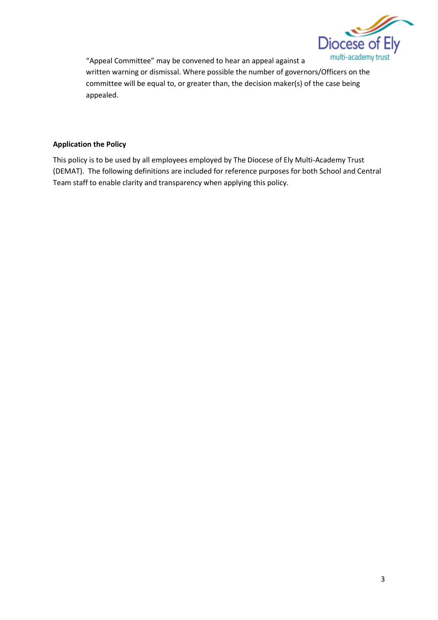

"Appeal Committee" may be convened to hear an appeal against a written warning or dismissal. Where possible the number of governors/Officers on the committee will be equal to, or greater than, the decision maker(s) of the case being appealed.

#### **Application the Policy**

This policy is to be used by all employees employed by The Diocese of Ely Multi-Academy Trust (DEMAT). The following definitions are included for reference purposes for both School and Central Team staff to enable clarity and transparency when applying this policy.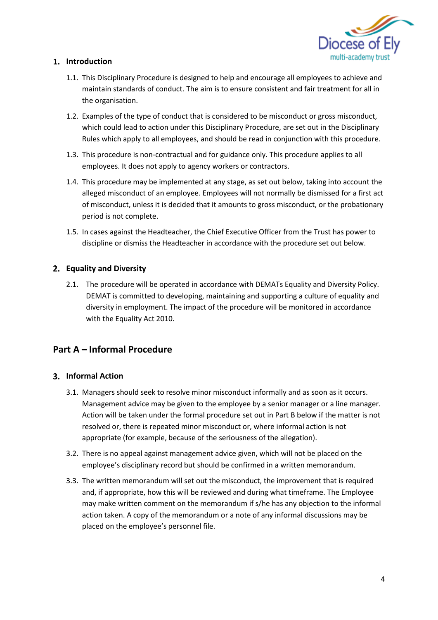

## **Introduction**

- 1.1. This Disciplinary Procedure is designed to help and encourage all employees to achieve and maintain standards of conduct. The aim is to ensure consistent and fair treatment for all in the organisation.
- 1.2. Examples of the type of conduct that is considered to be misconduct or gross misconduct, which could lead to action under this Disciplinary Procedure, are set out in the Disciplinary Rules which apply to all employees, and should be read in conjunction with this procedure.
- 1.3. This procedure is non-contractual and for guidance only. This procedure applies to all employees. It does not apply to agency workers or contractors.
- 1.4. This procedure may be implemented at any stage, as set out below, taking into account the alleged misconduct of an employee. Employees will not normally be dismissed for a first act of misconduct, unless it is decided that it amounts to gross misconduct, or the probationary period is not complete.
- 1.5. In cases against the Headteacher, the Chief Executive Officer from the Trust has power to discipline or dismiss the Headteacher in accordance with the procedure set out below.

## **Equality and Diversity**

2.1. The procedure will be operated in accordance with DEMATs Equality and Diversity Policy. DEMAT is committed to developing, maintaining and supporting a culture of equality and diversity in employment. The impact of the procedure will be monitored in accordance with the Equality Act 2010.

## **Part A – Informal Procedure**

#### **Informal Action**

- 3.1. Managers should seek to resolve minor misconduct informally and as soon as it occurs. Management advice may be given to the employee by a senior manager or a line manager. Action will be taken under the formal procedure set out in Part B below if the matter is not resolved or, there is repeated minor misconduct or, where informal action is not appropriate (for example, because of the seriousness of the allegation).
- 3.2. There is no appeal against management advice given, which will not be placed on the employee's disciplinary record but should be confirmed in a written memorandum.
- 3.3. The written memorandum will set out the misconduct, the improvement that is required and, if appropriate, how this will be reviewed and during what timeframe. The Employee may make written comment on the memorandum if s/he has any objection to the informal action taken. A copy of the memorandum or a note of any informal discussions may be placed on the employee's personnel file.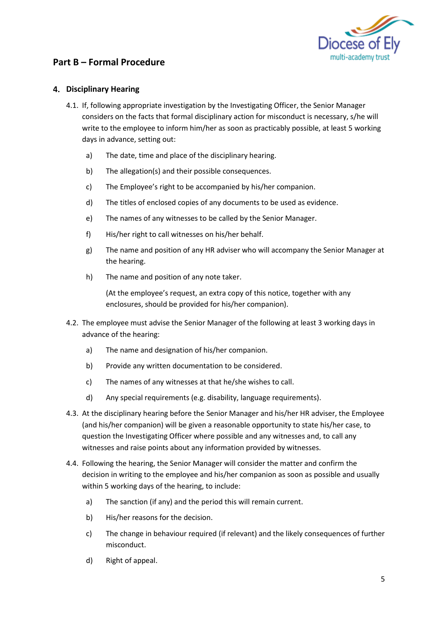

## **Part B – Formal Procedure**

### **Disciplinary Hearing**

- 4.1. If, following appropriate investigation by the Investigating Officer, the Senior Manager considers on the facts that formal disciplinary action for misconduct is necessary, s/he will write to the employee to inform him/her as soon as practicably possible, at least 5 working days in advance, setting out:
	- a) The date, time and place of the disciplinary hearing.
	- b) The allegation(s) and their possible consequences.
	- c) The Employee's right to be accompanied by his/her companion.
	- d) The titles of enclosed copies of any documents to be used as evidence.
	- e) The names of any witnesses to be called by the Senior Manager.
	- f) His/her right to call witnesses on his/her behalf.
	- g) The name and position of any HR adviser who will accompany the Senior Manager at the hearing.
	- h) The name and position of any note taker.

(At the employee's request, an extra copy of this notice, together with any enclosures, should be provided for his/her companion).

- 4.2. The employee must advise the Senior Manager of the following at least 3 working days in advance of the hearing:
	- a) The name and designation of his/her companion.
	- b) Provide any written documentation to be considered.
	- c) The names of any witnesses at that he/she wishes to call.
	- d) Any special requirements (e.g. disability, language requirements).
- 4.3. At the disciplinary hearing before the Senior Manager and his/her HR adviser, the Employee (and his/her companion) will be given a reasonable opportunity to state his/her case, to question the Investigating Officer where possible and any witnesses and, to call any witnesses and raise points about any information provided by witnesses.
- 4.4. Following the hearing, the Senior Manager will consider the matter and confirm the decision in writing to the employee and his/her companion as soon as possible and usually within 5 working days of the hearing, to include:
	- a) The sanction (if any) and the period this will remain current.
	- b) His/her reasons for the decision.
	- c) The change in behaviour required (if relevant) and the likely consequences of further misconduct.
	- d) Right of appeal.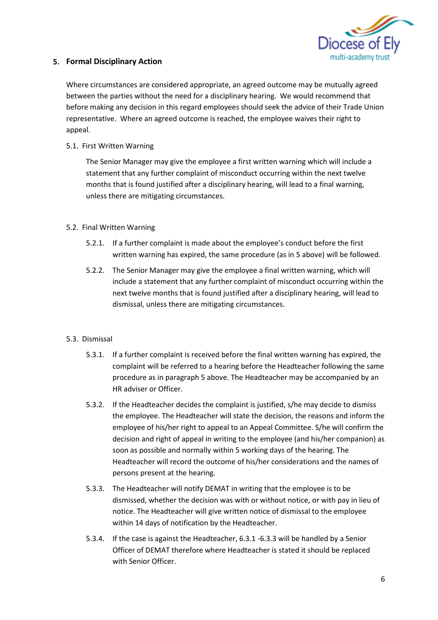

### **Formal Disciplinary Action**

Where circumstances are considered appropriate, an agreed outcome may be mutually agreed between the parties without the need for a disciplinary hearing. We would recommend that before making any decision in this regard employees should seek the advice of their Trade Union representative. Where an agreed outcome is reached, the employee waives their right to appeal.

5.1. First Written Warning

The Senior Manager may give the employee a first written warning which will include a statement that any further complaint of misconduct occurring within the next twelve months that is found justified after a disciplinary hearing, will lead to a final warning, unless there are mitigating circumstances.

#### 5.2. Final Written Warning

- 5.2.1. If a further complaint is made about the employee's conduct before the first written warning has expired, the same procedure (as in 5 above) will be followed.
- 5.2.2. The Senior Manager may give the employee a final written warning, which will include a statement that any further complaint of misconduct occurring within the next twelve months that is found justified after a disciplinary hearing, will lead to dismissal, unless there are mitigating circumstances.

#### 5.3. Dismissal

- 5.3.1. If a further complaint is received before the final written warning has expired, the complaint will be referred to a hearing before the Headteacher following the same procedure as in paragraph 5 above. The Headteacher may be accompanied by an HR adviser or Officer.
- 5.3.2. If the Headteacher decides the complaint is justified, s/he may decide to dismiss the employee. The Headteacher will state the decision, the reasons and inform the employee of his/her right to appeal to an Appeal Committee. S/he will confirm the decision and right of appeal in writing to the employee (and his/her companion) as soon as possible and normally within 5 working days of the hearing. The Headteacher will record the outcome of his/her considerations and the names of persons present at the hearing.
- 5.3.3. The Headteacher will notify DEMAT in writing that the employee is to be dismissed, whether the decision was with or without notice, or with pay in lieu of notice. The Headteacher will give written notice of dismissal to the employee within 14 days of notification by the Headteacher.
- 5.3.4. If the case is against the Headteacher, 6.3.1 -6.3.3 will be handled by a Senior Officer of DEMAT therefore where Headteacher is stated it should be replaced with Senior Officer.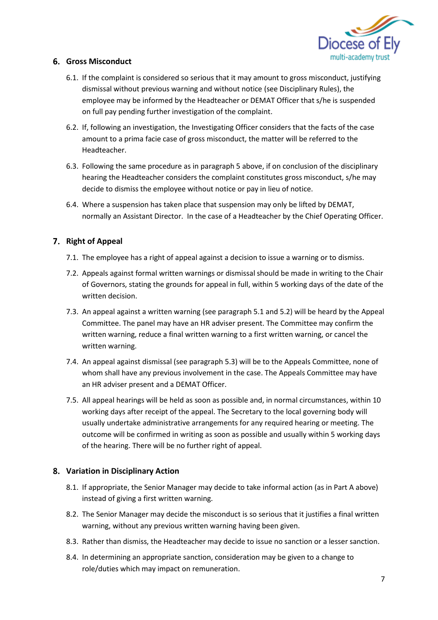

#### **Gross Misconduct**

- 6.1. If the complaint is considered so serious that it may amount to gross misconduct, justifying dismissal without previous warning and without notice (see Disciplinary Rules), the employee may be informed by the Headteacher or DEMAT Officer that s/he is suspended on full pay pending further investigation of the complaint.
- 6.2. If, following an investigation, the Investigating Officer considers that the facts of the case amount to a prima facie case of gross misconduct, the matter will be referred to the Headteacher.
- 6.3. Following the same procedure as in paragraph 5 above, if on conclusion of the disciplinary hearing the Headteacher considers the complaint constitutes gross misconduct, s/he may decide to dismiss the employee without notice or pay in lieu of notice.
- 6.4. Where a suspension has taken place that suspension may only be lifted by DEMAT, normally an Assistant Director. In the case of a Headteacher by the Chief Operating Officer.

#### **Right of Appeal**

- 7.1. The employee has a right of appeal against a decision to issue a warning or to dismiss.
- 7.2. Appeals against formal written warnings or dismissal should be made in writing to the Chair of Governors, stating the grounds for appeal in full, within 5 working days of the date of the written decision.
- 7.3. An appeal against a written warning (see paragraph 5.1 and 5.2) will be heard by the Appeal Committee. The panel may have an HR adviser present. The Committee may confirm the written warning, reduce a final written warning to a first written warning, or cancel the written warning.
- 7.4. An appeal against dismissal (see paragraph 5.3) will be to the Appeals Committee, none of whom shall have any previous involvement in the case. The Appeals Committee may have an HR adviser present and a DEMAT Officer.
- 7.5. All appeal hearings will be held as soon as possible and, in normal circumstances, within 10 working days after receipt of the appeal. The Secretary to the local governing body will usually undertake administrative arrangements for any required hearing or meeting. The outcome will be confirmed in writing as soon as possible and usually within 5 working days of the hearing. There will be no further right of appeal.

#### **Variation in Disciplinary Action**

- 8.1. If appropriate, the Senior Manager may decide to take informal action (as in Part A above) instead of giving a first written warning.
- 8.2. The Senior Manager may decide the misconduct is so serious that it justifies a final written warning, without any previous written warning having been given.
- 8.3. Rather than dismiss, the Headteacher may decide to issue no sanction or a lesser sanction.
- 8.4. In determining an appropriate sanction, consideration may be given to a change to role/duties which may impact on remuneration.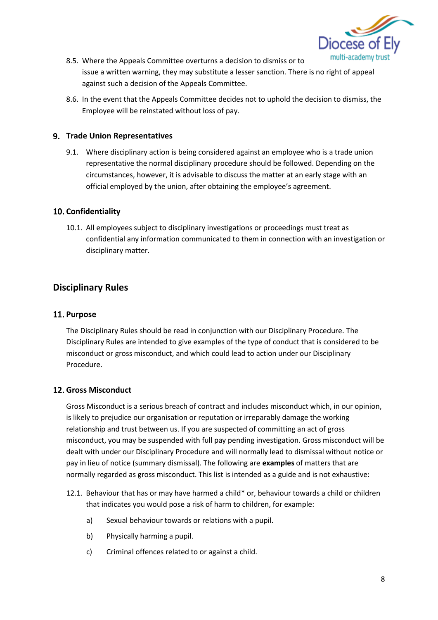

- 8.5. Where the Appeals Committee overturns a decision to dismiss or to issue a written warning, they may substitute a lesser sanction. There is no right of appeal against such a decision of the Appeals Committee.
- 8.6. In the event that the Appeals Committee decides not to uphold the decision to dismiss, the Employee will be reinstated without loss of pay.

### **Trade Union Representatives**

9.1. Where disciplinary action is being considered against an employee who is a trade union representative the normal disciplinary procedure should be followed. Depending on the circumstances, however, it is advisable to discuss the matter at an early stage with an official employed by the union, after obtaining the employee's agreement.

## **10. Confidentiality**

10.1. All employees subject to disciplinary investigations or proceedings must treat as confidential any information communicated to them in connection with an investigation or disciplinary matter.

# **Disciplinary Rules**

### 11. Purpose

The Disciplinary Rules should be read in conjunction with our Disciplinary Procedure. The Disciplinary Rules are intended to give examples of the type of conduct that is considered to be misconduct or gross misconduct, and which could lead to action under our Disciplinary Procedure.

## **12. Gross Misconduct**

Gross Misconduct is a serious breach of contract and includes misconduct which, in our opinion, is likely to prejudice our organisation or reputation or irreparably damage the working relationship and trust between us. If you are suspected of committing an act of gross misconduct, you may be suspended with full pay pending investigation. Gross misconduct will be dealt with under our Disciplinary Procedure and will normally lead to dismissal without notice or pay in lieu of notice (summary dismissal). The following are **examples** of matters that are normally regarded as gross misconduct. This list is intended as a guide and is not exhaustive:

- 12.1. Behaviour that has or may have harmed a child\* or, behaviour towards a child or children that indicates you would pose a risk of harm to children, for example:
	- a) Sexual behaviour towards or relations with a pupil.
	- b) Physically harming a pupil.
	- c) Criminal offences related to or against a child.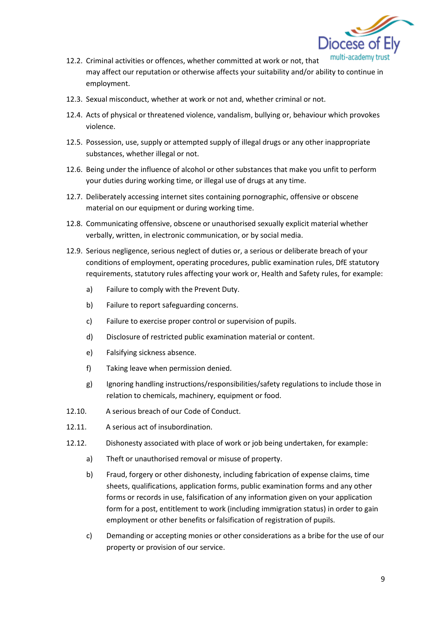

- multi-academy 12.2. Criminal activities or offences, whether committed at work or not, that may affect our reputation or otherwise affects your suitability and/or ability to continue in employment.
- 12.3. Sexual misconduct, whether at work or not and, whether criminal or not.
- 12.4. Acts of physical or threatened violence, vandalism, bullying or, behaviour which provokes violence.
- 12.5. Possession, use, supply or attempted supply of illegal drugs or any other inappropriate substances, whether illegal or not.
- 12.6. Being under the influence of alcohol or other substances that make you unfit to perform your duties during working time, or illegal use of drugs at any time.
- 12.7. Deliberately accessing internet sites containing pornographic, offensive or obscene material on our equipment or during working time.
- 12.8. Communicating offensive, obscene or unauthorised sexually explicit material whether verbally, written, in electronic communication, or by social media.
- 12.9. Serious negligence, serious neglect of duties or, a serious or deliberate breach of your conditions of employment, operating procedures, public examination rules, DfE statutory requirements, statutory rules affecting your work or, Health and Safety rules, for example:
	- a) Failure to comply with the Prevent Duty.
	- b) Failure to report safeguarding concerns.
	- c) Failure to exercise proper control or supervision of pupils.
	- d) Disclosure of restricted public examination material or content.
	- e) Falsifying sickness absence.
	- f) Taking leave when permission denied.
	- g) Ignoring handling instructions/responsibilities/safety regulations to include those in relation to chemicals, machinery, equipment or food.
- 12.10. A serious breach of our Code of Conduct.
- 12.11. A serious act of insubordination.
- 12.12. Dishonesty associated with place of work or job being undertaken, for example:
	- a) Theft or unauthorised removal or misuse of property.
	- b) Fraud, forgery or other dishonesty, including fabrication of expense claims, time sheets, qualifications, application forms, public examination forms and any other forms or records in use, falsification of any information given on your application form for a post, entitlement to work (including immigration status) in order to gain employment or other benefits or falsification of registration of pupils.
	- c) Demanding or accepting monies or other considerations as a bribe for the use of our property or provision of our service.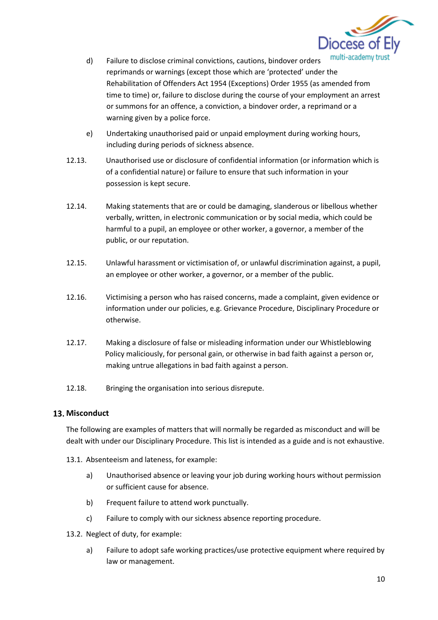

- d) Failure to disclose criminal convictions, cautions, bindover orders reprimands or warnings (except those which are 'protected' under the Rehabilitation of Offenders Act 1954 (Exceptions) Order 1955 (as amended from time to time) or, failure to disclose during the course of your employment an arrest or summons for an offence, a conviction, a bindover order, a reprimand or a warning given by a police force.
- e) Undertaking unauthorised paid or unpaid employment during working hours, including during periods of sickness absence.
- 12.13. Unauthorised use or disclosure of confidential information (or information which is of a confidential nature) or failure to ensure that such information in your possession is kept secure.
- 12.14. Making statements that are or could be damaging, slanderous or libellous whether verbally, written, in electronic communication or by social media, which could be harmful to a pupil, an employee or other worker, a governor, a member of the public, or our reputation.
- 12.15. Unlawful harassment or victimisation of, or unlawful discrimination against, a pupil, an employee or other worker, a governor, or a member of the public.
- 12.16. Victimising a person who has raised concerns, made a complaint, given evidence or information under our policies, e.g. Grievance Procedure, Disciplinary Procedure or otherwise.
- 12.17. Making a disclosure of false or misleading information under our Whistleblowing Policy maliciously, for personal gain, or otherwise in bad faith against a person or, making untrue allegations in bad faith against a person.
- 12.18. Bringing the organisation into serious disrepute.

#### **13. Misconduct**

The following are examples of matters that will normally be regarded as misconduct and will be dealt with under our Disciplinary Procedure. This list is intended as a guide and is not exhaustive.

- 13.1. Absenteeism and lateness, for example:
	- a) Unauthorised absence or leaving your job during working hours without permission or sufficient cause for absence.
	- b) Frequent failure to attend work punctually.
	- c) Failure to comply with our sickness absence reporting procedure.
- 13.2. Neglect of duty, for example:
	- a) Failure to adopt safe working practices/use protective equipment where required by law or management.